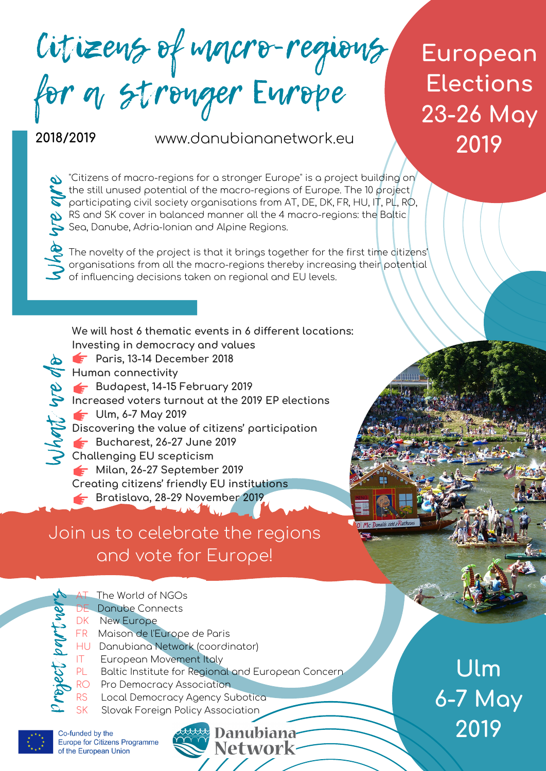Citizens of macro-regions for a stronger Europe

**European Elections 23-26 May 2019**

#### **2018/2019**

 ${\mathcal S}$ 

**dentification** 

www.danubiananetwork.eu

 $\bullet$  "Citizens of macro-regions for a stronger Europe" is a project building on the still unused potential of the macro-regions of Europe. The 10 project the still unused potential of the macro-regions of Europe. The 10 project<br>participating civil society organisations from AT, DE, DK, FR, HU, IT, PL, RO, RS and SK cover in balanced manner all the 4 macro-regions: the Baltic<br>Sea, Danube, Adria-Ionian and Alpine Regions. Sea, Danube, Adria-Ionian and Alpine Regions.

The novelty of the project is that it brings together for the first time citizens'<br>
acceptions from all the masse segions thereby increasing their actential organisations from all the macro-regions thereby increasing their potential<br>of influencing decisions taken on regional and EU levels.

**We will host 6 thematic events in 6 different locations: Investing in democracy and values b F** Paris, 13-14 December 2018 **Human connectivity Budapest, 14-15 February 2019 Increased voters turnout at the 2019 EP elections** we **Ulm, 6-7 May 2019 Discovering the value of citizens' participation Bucharest, 26-27 June 2019 Challenging EU scepticism Milan, 26-27 September 2019 Creating citizens' friendly EU institutions Bratislava, 28-29 November 2019** hat

Join us to celebrate the regions and vote for Europe!



**Ulm 6-7 May 2019**



**Europe for Citizens Programme** 

Danubiana-**Network**